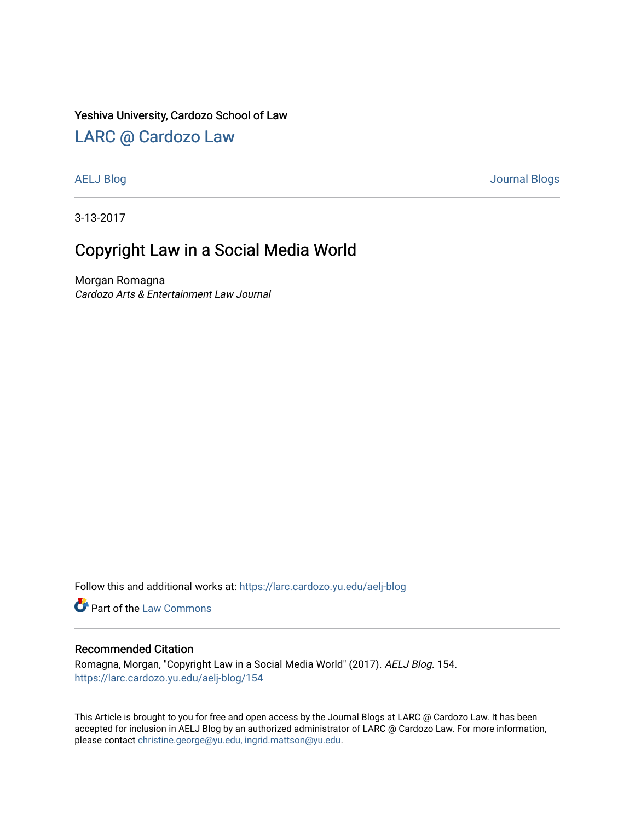### Yeshiva University, Cardozo School of Law

## [LARC @ Cardozo Law](https://larc.cardozo.yu.edu/)

[AELJ Blog](https://larc.cardozo.yu.edu/aelj-blog) [Journal Blogs](https://larc.cardozo.yu.edu/journal-blogs) 

3-13-2017

# Copyright Law in a Social Media World

Morgan Romagna Cardozo Arts & Entertainment Law Journal

Follow this and additional works at: [https://larc.cardozo.yu.edu/aelj-blog](https://larc.cardozo.yu.edu/aelj-blog?utm_source=larc.cardozo.yu.edu%2Faelj-blog%2F154&utm_medium=PDF&utm_campaign=PDFCoverPages) 

Part of the [Law Commons](http://network.bepress.com/hgg/discipline/578?utm_source=larc.cardozo.yu.edu%2Faelj-blog%2F154&utm_medium=PDF&utm_campaign=PDFCoverPages)

### Recommended Citation

Romagna, Morgan, "Copyright Law in a Social Media World" (2017). AELJ Blog. 154. [https://larc.cardozo.yu.edu/aelj-blog/154](https://larc.cardozo.yu.edu/aelj-blog/154?utm_source=larc.cardozo.yu.edu%2Faelj-blog%2F154&utm_medium=PDF&utm_campaign=PDFCoverPages) 

This Article is brought to you for free and open access by the Journal Blogs at LARC @ Cardozo Law. It has been accepted for inclusion in AELJ Blog by an authorized administrator of LARC @ Cardozo Law. For more information, please contact [christine.george@yu.edu, ingrid.mattson@yu.edu.](mailto:christine.george@yu.edu,%20ingrid.mattson@yu.edu)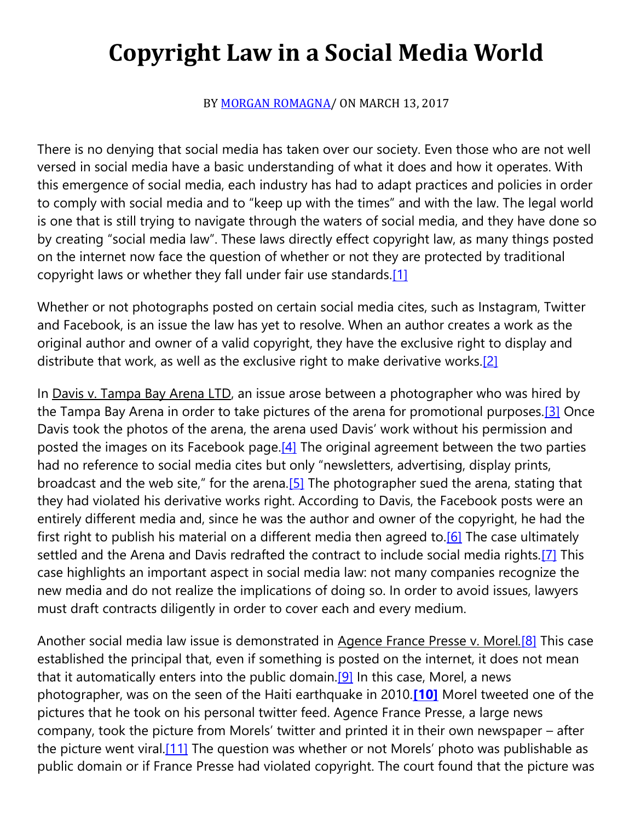# **Copyright Law in a Social Media World**

BY [MORGAN ROMAGNA/](https://cardozoaelj.com/author/mromagna/) ON MARCH 13, 2017

There is no denying that social media has taken over our society. Even those who are not well versed in social media have a basic understanding of what it does and how it operates. With this emergence of social media, each industry has had to adapt practices and policies in order to comply with social media and to "keep up with the times" and with the law. The legal world is one that is still trying to navigate through the waters of social media, and they have done so by creating "social media law". These laws directly effect copyright law, as many things posted on the internet now face the question of whether or not they are protected by traditional copyright laws or whether they fall under fair use standards[.\[1\]](https://cardozoaelj.com/2017/03/13/copyright-law-social-media-world/#_ftn1)

Whether or not photographs posted on certain social media cites, such as Instagram, Twitter and Facebook, is an issue the law has yet to resolve. When an author creates a work as the original author and owner of a valid copyright, they have the exclusive right to display and distribute that work, as well as the exclusive right to make derivative works.<sup>[2]</sup>

In Davis v. Tampa Bay Arena LTD, an issue arose between a photographer who was hired by the Tampa Bay Arena in order to take pictures of the arena for promotional purposes.<sup>[3]</sup> Once Davis took the photos of the arena, the arena used Davis' work without his permission and posted the images on its Facebook page. $[4]$  The original agreement between the two parties had no reference to social media cites but only "newsletters, advertising, display prints, broadcast and the web site," for the arena.[\[5\]](https://cardozoaelj.com/2017/03/13/copyright-law-social-media-world/#_ftn5) The photographer sued the arena, stating that they had violated his derivative works right. According to Davis, the Facebook posts were an entirely different media and, since he was the author and owner of the copyright, he had the first right to publish his material on a different media then agreed to.<sup>[6]</sup> The case ultimately settled and the Arena and Davis redrafted the contract to include social media rights.<sup>[7]</sup> This case highlights an important aspect in social media law: not many companies recognize the new media and do not realize the implications of doing so. In order to avoid issues, lawyers must draft contracts diligently in order to cover each and every medium.

Another social media law issue is demonstrated in Agence France Presse v. Morel*.*[\[8\]](https://cardozoaelj.com/2017/03/13/copyright-law-social-media-world/#_ftn8) This case established the principal that, even if something is posted on the internet, it does not mean that it automatically enters into the public domain.<sup>[9]</sup> In this case, Morel, a news photographer, was on the seen of the Haiti earthquake in 2010.**[\[10\]](https://cardozoaelj.com/2017/03/13/copyright-law-social-media-world/#_ftn10)** Morel tweeted one of the pictures that he took on his personal twitter feed. Agence France Presse, a large news company, took the picture from Morels' twitter and printed it in their own newspaper – after the picture went viral.<sup>[11]</sup> The question was whether or not Morels' photo was publishable as public domain or if France Presse had violated copyright. The court found that the picture was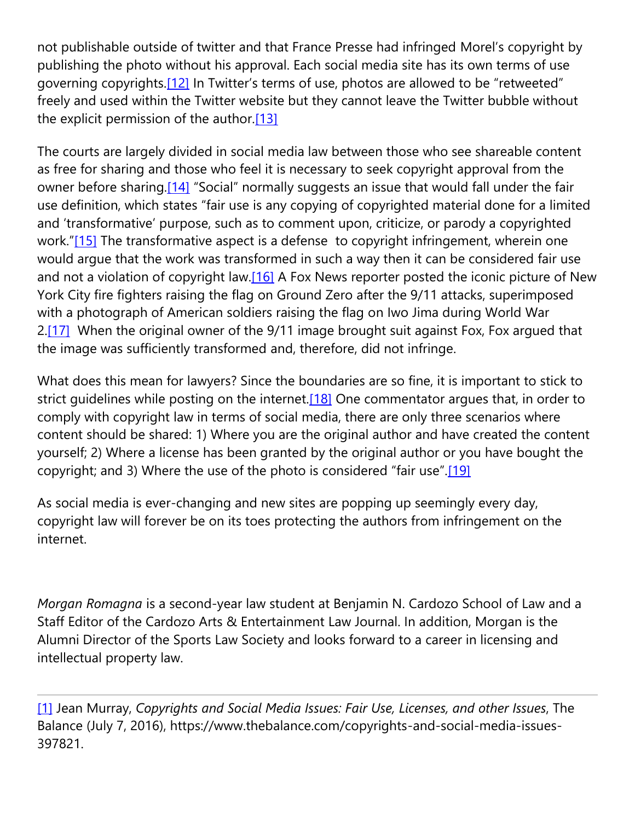not publishable outside of twitter and that France Presse had infringed Morel's copyright by publishing the photo without his approval. Each social media site has its own terms of use governing copyrights[.\[12\]](https://cardozoaelj.com/2017/03/13/copyright-law-social-media-world/#_ftn12) In Twitter's terms of use, photos are allowed to be "retweeted" freely and used within the Twitter website but they cannot leave the Twitter bubble without the explicit permission of the author. $[13]$ 

The courts are largely divided in social media law between those who see shareable content as free for sharing and those who feel it is necessary to seek copyright approval from the owner before sharing.<sup>[14]</sup> "Social" normally suggests an issue that would fall under the fair use definition, which states "fair use is any copying of copyrighted material done for a limited and 'transformative' purpose, such as to comment upon, criticize, or parody a copyrighted work."[\[15\]](https://cardozoaelj.com/2017/03/13/copyright-law-social-media-world/#_ftn15) The transformative aspect is a defense to copyright infringement, wherein one would argue that the work was transformed in such a way then it can be considered fair use and not a violation of copyright law. $[16]$  A Fox News reporter posted the iconic picture of New York City fire fighters raising the flag on Ground Zero after the 9/11 attacks, superimposed with a photograph of American soldiers raising the flag on Iwo Jima during World War 2[.\[17\]](https://cardozoaelj.com/2017/03/13/copyright-law-social-media-world/#_ftn17) When the original owner of the 9/11 image brought suit against Fox, Fox argued that the image was sufficiently transformed and, therefore, did not infringe.

What does this mean for lawyers? Since the boundaries are so fine, it is important to stick to strict quidelines while posting on the internet.<sup>[18]</sup> One commentator argues that, in order to comply with copyright law in terms of social media, there are only three scenarios where content should be shared: 1) Where you are the original author and have created the content yourself; 2) Where a license has been granted by the original author or you have bought the copyright; and 3) Where the use of the photo is considered "fair use".[\[19\]](https://cardozoaelj.com/2017/03/13/copyright-law-social-media-world/#_ftn19)

As social media is ever-changing and new sites are popping up seemingly every day, copyright law will forever be on its toes protecting the authors from infringement on the internet.

*Morgan Romagna* is a second-year law student at Benjamin N. Cardozo School of Law and a Staff Editor of the Cardozo Arts & Entertainment Law Journal. In addition, Morgan is the Alumni Director of the Sports Law Society and looks forward to a career in licensing and intellectual property law.

[\[1\]](https://cardozoaelj.com/2017/03/13/copyright-law-social-media-world/#_ftnref1) Jean Murray, *Copyrights and Social Media Issues: Fair Use, Licenses, and other Issues*, The Balance (July 7, 2016), https://www.thebalance.com/copyrights-and-social-media-issues-397821.